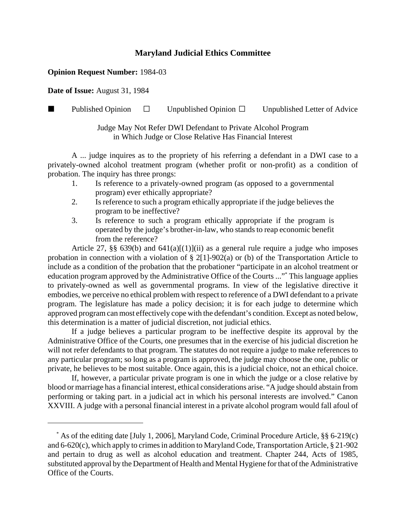## **Maryland Judicial Ethics Committee**

## **Opinion Request Number:** 1984-03

**Date of Issue:** August 31, 1984

**Published Opinion**  $\Box$  Unpublished Opinion  $\Box$  Unpublished Letter of Advice

Judge May Not Refer DWI Defendant to Private Alcohol Program in Which Judge or Close Relative Has Financial Interest

A ... judge inquires as to the propriety of his referring a defendant in a DWI case to a privately-owned alcohol treatment program (whether profit or non-profit) as a condition of probation. The inquiry has three prongs:

- 1. Is reference to a privately-owned program (as opposed to a governmental program) ever ethically appropriate?
- 2. Is reference to such a program ethically appropriate if the judge believes the program to be ineffective?
- 3. Is reference to such a program ethically appropriate if the program is operated by the judge's brother-in-law, who stands to reap economic benefit from the reference?

Article 27, §§ 639(b) and  $641(a)[(1)]$ (ii) as a general rule require a judge who imposes probation in connection with a violation of § 2[1]-902(a) or (b) of the Transportation Article to include as a condition of the probation that the probationer "participate in an alcohol treatment or education program approved by the Administrative Office of the Courts ..."\* This language applies to privately-owned as well as governmental programs. In view of the legislative directive it embodies, we perceive no ethical problem with respect to reference of a DWI defendant to a private program. The legislature has made a policy decision; it is for each judge to determine which approved program can most effectively cope with the defendant's condition. Except as noted below, this determination is a matter of judicial discretion, not judicial ethics.

If a judge believes a particular program to be ineffective despite its approval by the Administrative Office of the Courts, one presumes that in the exercise of his judicial discretion he will not refer defendants to that program. The statutes do not require a judge to make references to any particular program; so long as a program is approved, the judge may choose the one, public or private, he believes to be most suitable. Once again, this is a judicial choice, not an ethical choice.

If, however, a particular private program is one in which the judge or a close relative by blood or marriage has a financial interest, ethical considerations arise. "A judge should abstain from performing or taking part. in a judicial act in which his personal interests are involved." Canon XXVIII. A judge with a personal financial interest in a private alcohol program would fall afoul of

 <sup>\*</sup> As of the editing date [July 1, 2006], Maryland Code, Criminal Procedure Article, §§ 6-219(c) and 6-620(c), which apply to crimes in addition to Maryland Code, Transportation Article, § 21-902 and pertain to drug as well as alcohol education and treatment. Chapter 244, Acts of 1985, substituted approval by the Department of Health and Mental Hygiene for that of the Administrative Office of the Courts.